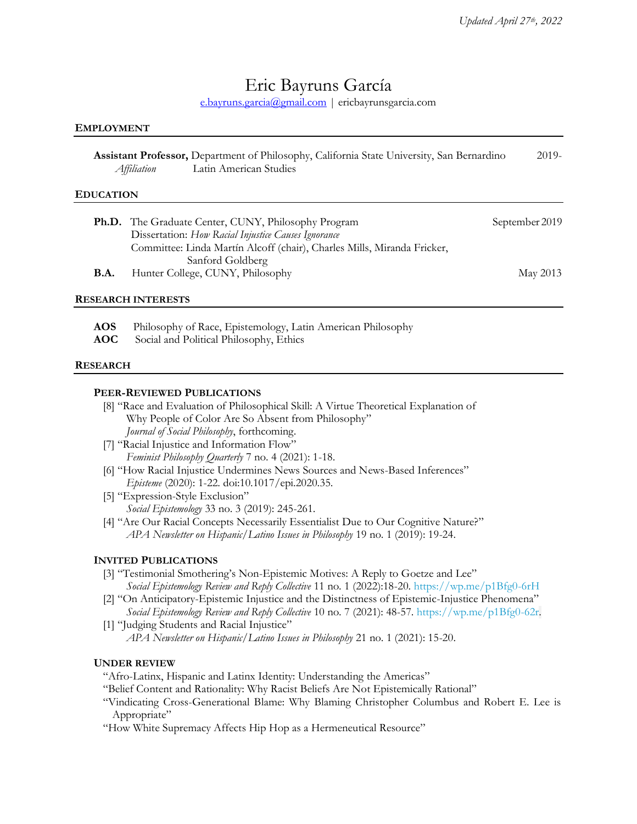# Eric Bayruns García

[e.bayruns.garcia@gmail.com](mailto:e.bayruns.garcia@gmail.com) | ericbayrunsgarcia.com

#### **EMPLOYMENT**

|             | Assistant Professor, Department of Philosophy, California State University, San Bernardino | $2019-$ |
|-------------|--------------------------------------------------------------------------------------------|---------|
| Affiliation | Latin American Studies                                                                     |         |

#### **EDUCATION**

| <b>Ph.D.</b> The Graduate Center, CUNY, Philosophy Program              | September 2019 |
|-------------------------------------------------------------------------|----------------|
| Dissertation: How Racial Injustice Causes Ignorance                     |                |
| Committee: Linda Martín Alcoff (chair), Charles Mills, Miranda Fricker, |                |
| Sanford Goldberg                                                        |                |
| Hunter College, CUNY, Philosophy                                        | May 2013       |
|                                                                         |                |

#### **RESEARCH INTERESTS**

**AOS** Philosophy of Race, Epistemology, Latin American Philosophy

**AOC** Social and Political Philosophy, Ethics

#### **RESEARCH**

#### **PEER-REVIEWED PUBLICATIONS**

- [8] "Race and Evaluation of Philosophical Skill: A Virtue Theoretical Explanation of Why People of Color Are So Absent from Philosophy" *Journal of Social Philosophy*, forthcoming.
- [7] "Racial Injustice and Information Flow" *Feminist Philosophy Quarterly* 7 no. 4 (2021): 1-18.
- [6] "How Racial Injustice Undermines News Sources and News-Based Inferences" *Episteme* (2020): 1-22. doi:10.1017/epi.2020.35.
- [5] "Expression-Style Exclusion" *Social Epistemology* 33 no. 3 (2019): 245-261.
- [4] "Are Our Racial Concepts Necessarily Essentialist Due to Our Cognitive Nature?" *APA Newsletter on Hispanic/Latino Issues in Philosophy* 19 no. 1 (2019): 19-24.

## **INVITED PUBLICATIONS**

- [3] "Testimonial Smothering's Non-Epistemic Motives: A Reply to Goetze and Lee" *Social Epistemology Review and Reply Collective* 11 no. 1 (2022):18-20[. https://wp.me/p1Bfg0-6rH](https://wp.me/p1Bfg0-6rH)
- [2] "On Anticipatory-Epistemic Injustice and the Distinctness of Epistemic-Injustice Phenomena" *Social Epistemology Review and Reply Collective* 10 no. 7 (2021): 48-57. [https://wp.me/p1Bfg0-62r.](https://wp.me/p1Bfg0-62r)
- [1] "Judging Students and Racial Injustice" *APA Newsletter on Hispanic/Latino Issues in Philosophy* 21 no. 1 (2021): 15-20.

#### **UNDER REVIEW**

- "Afro-Latinx, Hispanic and Latinx Identity: Understanding the Americas"
- "Belief Content and Rationality: Why Racist Beliefs Are Not Epistemically Rational"
- "Vindicating Cross-Generational Blame: Why Blaming Christopher Columbus and Robert E. Lee is Appropriate"
- "How White Supremacy Affects Hip Hop as a Hermeneutical Resource"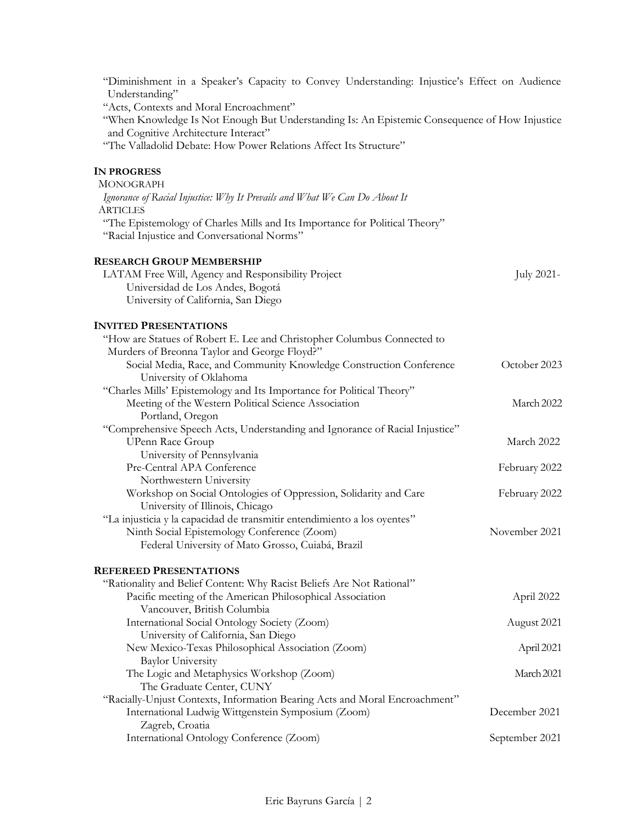| "Diminishment in a Speaker's Capacity to Convey Understanding: Injustice's Effect on Audience<br>Understanding"<br>"Acts, Contexts and Moral Encroachment"<br>"When Knowledge Is Not Enough But Understanding Is: An Epistemic Consequence of How Injustice<br>and Cognitive Architecture Interact" |                |
|-----------------------------------------------------------------------------------------------------------------------------------------------------------------------------------------------------------------------------------------------------------------------------------------------------|----------------|
| "The Valladolid Debate: How Power Relations Affect Its Structure"                                                                                                                                                                                                                                   |                |
| <b>IN PROGRESS</b>                                                                                                                                                                                                                                                                                  |                |
| <b>MONOGRAPH</b>                                                                                                                                                                                                                                                                                    |                |
| Ignorance of Racial Injustice: Why It Prevails and What We Can Do About It<br><b>ARTICLES</b>                                                                                                                                                                                                       |                |
| "The Epistemology of Charles Mills and Its Importance for Political Theory"                                                                                                                                                                                                                         |                |
| "Racial Injustice and Conversational Norms"                                                                                                                                                                                                                                                         |                |
| <b>RESEARCH GROUP MEMBERSHIP</b>                                                                                                                                                                                                                                                                    |                |
| LATAM Free Will, Agency and Responsibility Project                                                                                                                                                                                                                                                  | July 2021-     |
| Universidad de Los Andes, Bogotá                                                                                                                                                                                                                                                                    |                |
| University of California, San Diego                                                                                                                                                                                                                                                                 |                |
| <b>INVITED PRESENTATIONS</b>                                                                                                                                                                                                                                                                        |                |
| "How are Statues of Robert E. Lee and Christopher Columbus Connected to                                                                                                                                                                                                                             |                |
| Murders of Breonna Taylor and George Floyd?"                                                                                                                                                                                                                                                        |                |
| Social Media, Race, and Community Knowledge Construction Conference                                                                                                                                                                                                                                 | October 2023   |
| University of Oklahoma                                                                                                                                                                                                                                                                              |                |
| "Charles Mills' Epistemology and Its Importance for Political Theory"<br>Meeting of the Western Political Science Association                                                                                                                                                                       | March 2022     |
| Portland, Oregon                                                                                                                                                                                                                                                                                    |                |
| "Comprehensive Speech Acts, Understanding and Ignorance of Racial Injustice"                                                                                                                                                                                                                        |                |
| <b>UPenn Race Group</b>                                                                                                                                                                                                                                                                             | March 2022     |
| University of Pennsylvania                                                                                                                                                                                                                                                                          |                |
| Pre-Central APA Conference                                                                                                                                                                                                                                                                          | February 2022  |
| Northwestern University                                                                                                                                                                                                                                                                             |                |
| Workshop on Social Ontologies of Oppression, Solidarity and Care<br>University of Illinois, Chicago                                                                                                                                                                                                 | February 2022  |
| "La injusticia y la capacidad de transmitir entendimiento a los oyentes"                                                                                                                                                                                                                            |                |
| Ninth Social Epistemology Conference (Zoom)                                                                                                                                                                                                                                                         | November 2021  |
| Federal University of Mato Grosso, Cuiabá, Brazil                                                                                                                                                                                                                                                   |                |
| <b>REFEREED PRESENTATIONS</b>                                                                                                                                                                                                                                                                       |                |
| "Rationality and Belief Content: Why Racist Beliefs Are Not Rational"                                                                                                                                                                                                                               |                |
| Pacific meeting of the American Philosophical Association<br>Vancouver, British Columbia                                                                                                                                                                                                            | April 2022     |
| International Social Ontology Society (Zoom)                                                                                                                                                                                                                                                        | August 2021    |
| University of California, San Diego                                                                                                                                                                                                                                                                 |                |
| New Mexico-Texas Philosophical Association (Zoom)                                                                                                                                                                                                                                                   | April 2021     |
| <b>Baylor University</b>                                                                                                                                                                                                                                                                            |                |
| The Logic and Metaphysics Workshop (Zoom)                                                                                                                                                                                                                                                           | March 2021     |
| The Graduate Center, CUNY<br>"Racially-Unjust Contexts, Information Bearing Acts and Moral Encroachment"                                                                                                                                                                                            |                |
| International Ludwig Wittgenstein Symposium (Zoom)                                                                                                                                                                                                                                                  | December 2021  |
| Zagreb, Croatia                                                                                                                                                                                                                                                                                     |                |
| International Ontology Conference (Zoom)                                                                                                                                                                                                                                                            | September 2021 |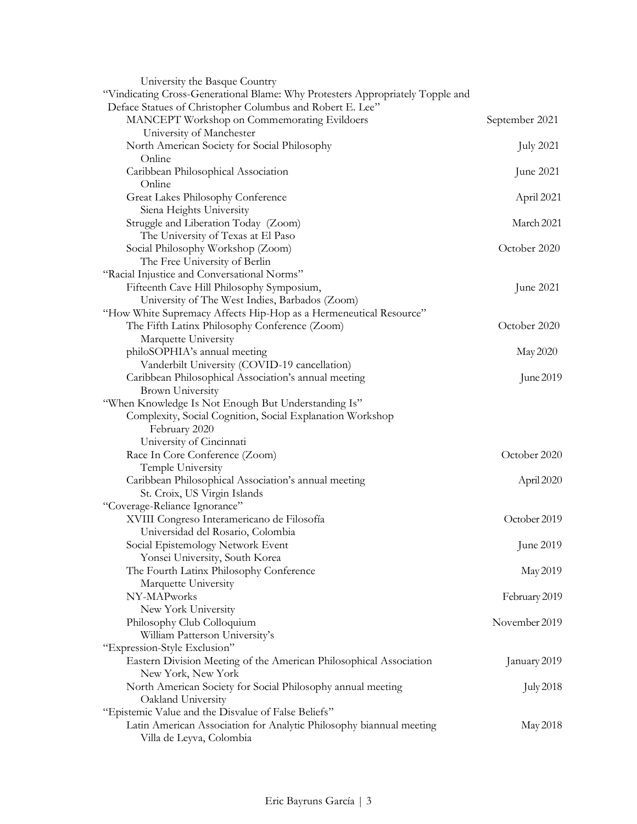| University the Basque Country                                                                   |                  |
|-------------------------------------------------------------------------------------------------|------------------|
| "Vindicating Cross-Generational Blame: Why Protesters Appropriately Topple and                  |                  |
| Deface Statues of Christopher Columbus and Robert E. Lee"                                       |                  |
| MANCEPT Workshop on Commemorating Evildoers                                                     | September 2021   |
| University of Manchester                                                                        |                  |
| North American Society for Social Philosophy                                                    | July 2021        |
| Online                                                                                          |                  |
| Caribbean Philosophical Association                                                             | June 2021        |
| Online                                                                                          |                  |
| Great Lakes Philosophy Conference                                                               | April 2021       |
| Siena Heights University                                                                        |                  |
| Struggle and Liberation Today (Zoom)                                                            | March 2021       |
| The University of Texas at El Paso                                                              |                  |
| Social Philosophy Workshop (Zoom)                                                               | October 2020     |
| The Free University of Berlin                                                                   |                  |
| "Racial Injustice and Conversational Norms"                                                     |                  |
| Fifteenth Cave Hill Philosophy Symposium,                                                       | June 2021        |
| University of The West Indies, Barbados (Zoom)                                                  |                  |
| "How White Supremacy Affects Hip-Hop as a Hermeneutical Resource"                               |                  |
| The Fifth Latinx Philosophy Conference (Zoom)                                                   | October 2020     |
| Marquette University                                                                            |                  |
| philoSOPHIA's annual meeting                                                                    | May 2020         |
| Vanderbilt University (COVID-19 cancellation)                                                   |                  |
| Caribbean Philosophical Association's annual meeting                                            | June 2019        |
| <b>Brown University</b>                                                                         |                  |
| "When Knowledge Is Not Enough But Understanding Is"                                             |                  |
| Complexity, Social Cognition, Social Explanation Workshop                                       |                  |
| February 2020                                                                                   |                  |
| University of Cincinnati                                                                        |                  |
| Race In Core Conference (Zoom)                                                                  | October 2020     |
| Temple University                                                                               |                  |
| Caribbean Philosophical Association's annual meeting                                            | April 2020       |
| St. Croix, US Virgin Islands                                                                    |                  |
| "Coverage-Reliance Ignorance"                                                                   |                  |
| XVIII Congreso Interamericano de Filosofía                                                      | October 2019     |
| Universidad del Rosario, Colombia                                                               |                  |
| Social Epistemology Network Event                                                               | June 2019        |
| Yonsei University, South Korea                                                                  |                  |
| The Fourth Latinx Philosophy Conference                                                         | May 2019         |
| Marquette University                                                                            |                  |
| NY-MAPworks                                                                                     | February 2019    |
| New York University                                                                             |                  |
| Philosophy Club Colloquium                                                                      | November 2019    |
| William Patterson University's                                                                  |                  |
| "Expression-Style Exclusion"                                                                    |                  |
| Eastern Division Meeting of the American Philosophical Association                              | January 2019     |
| New York, New York                                                                              |                  |
| North American Society for Social Philosophy annual meeting                                     | <b>July 2018</b> |
| Oakland University                                                                              |                  |
| "Epistemic Value and the Disvalue of False Beliefs"                                             |                  |
| Latin American Association for Analytic Philosophy biannual meeting<br>Villa de Leyva, Colombia | May 2018         |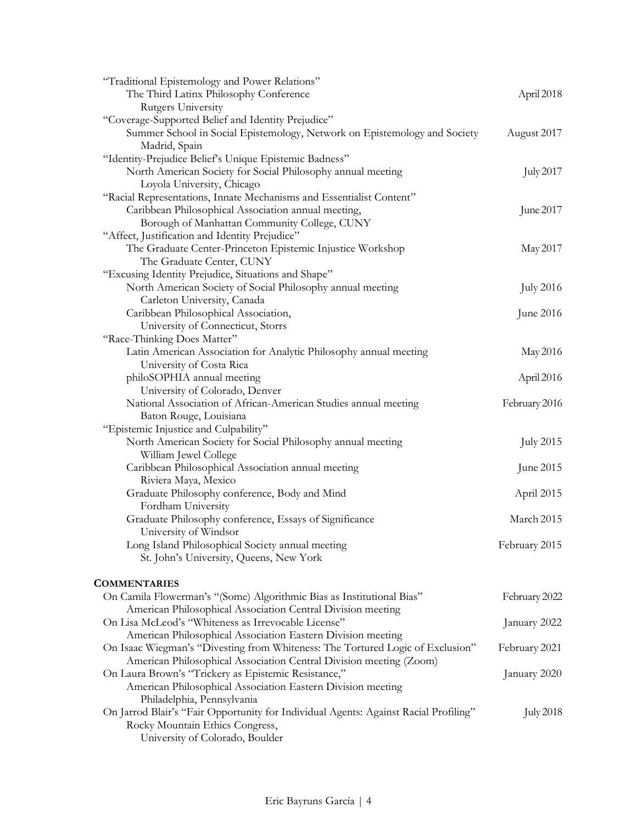| "Traditional Epistemology and Power Relations"                                       |                  |
|--------------------------------------------------------------------------------------|------------------|
| The Third Latinx Philosophy Conference                                               | April 2018       |
| Rutgers University                                                                   |                  |
| "Coverage-Supported Belief and Identity Prejudice"                                   |                  |
| Summer School in Social Epistemology, Network on Epistemology and Society            | August 2017      |
| Madrid, Spain                                                                        |                  |
| "Identity-Prejudice Belief's Unique Epistemic Badness"                               |                  |
| North American Society for Social Philosophy annual meeting                          | <b>July 2017</b> |
| Loyola University, Chicago                                                           |                  |
| "Racial Representations, Innate Mechanisms and Essentialist Content"                 |                  |
| Caribbean Philosophical Association annual meeting,                                  | June 2017        |
| Borough of Manhattan Community College, CUNY                                         |                  |
| "Affect, Justification and Identity Prejudice"                                       |                  |
| The Graduate Center-Princeton Epistemic Injustice Workshop                           | May 2017         |
| The Graduate Center, CUNY                                                            |                  |
| "Excusing Identity Prejudice, Situations and Shape"                                  |                  |
| North American Society of Social Philosophy annual meeting                           | <b>July 2016</b> |
| Carleton University, Canada                                                          |                  |
| Caribbean Philosophical Association,                                                 | June 2016        |
| University of Connecticut, Storrs                                                    |                  |
| "Race-Thinking Does Matter"                                                          |                  |
| Latin American Association for Analytic Philosophy annual meeting                    | May 2016         |
| University of Costa Rica                                                             |                  |
| philoSOPHIA annual meeting                                                           | April 2016       |
| University of Colorado, Denver                                                       |                  |
| National Association of African-American Studies annual meeting                      | February 2016    |
| Baton Rouge, Louisiana                                                               |                  |
| "Epistemic Injustice and Culpability"                                                |                  |
| North American Society for Social Philosophy annual meeting                          | <b>July 2015</b> |
| William Jewel College                                                                |                  |
| Caribbean Philosophical Association annual meeting                                   | June 2015        |
| Riviera Maya, Mexico                                                                 |                  |
| Graduate Philosophy conference, Body and Mind                                        | April 2015       |
| Fordham University                                                                   |                  |
| Graduate Philosophy conference, Essays of Significance                               | March 2015       |
| University of Windsor                                                                |                  |
| Long Island Philosophical Society annual meeting                                     | February 2015    |
| St. John's University, Queens, New York                                              |                  |
|                                                                                      |                  |
| <b>COMMENTARIES</b>                                                                  |                  |
| On Camila Flowerman's "(Some) Algorithmic Bias as Institutional Bias"                | February 2022    |
| American Philosophical Association Central Division meeting                          |                  |
| On Lisa McLeod's "Whiteness as Irrevocable License"                                  | January 2022     |
| American Philosophical Association Eastern Division meeting                          |                  |
| On Isaac Wiegman's "Divesting from Whiteness: The Tortured Logic of Exclusion"       | February 2021    |
| American Philosophical Association Central Division meeting (Zoom)                   |                  |
| On Laura Brown's "Trickery as Epistemic Resistance,"                                 | January 2020     |
| American Philosophical Association Eastern Division meeting                          |                  |
| Philadelphia, Pennsylvania                                                           |                  |
| On Jarrod Blair's "Fair Opportunity for Individual Agents: Against Racial Profiling" | <b>July 2018</b> |
| Rocky Mountain Ethics Congress,                                                      |                  |
| University of Colorado, Boulder                                                      |                  |
|                                                                                      |                  |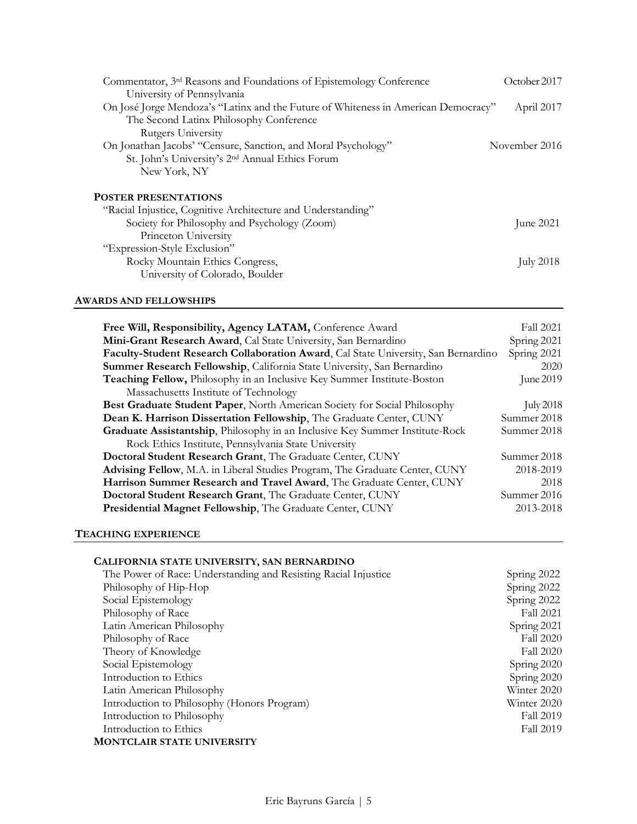| Commentator, 3 <sup>rd</sup> Reasons and Foundations of Epistemology Conference    | October 2017  |
|------------------------------------------------------------------------------------|---------------|
| University of Pennsylvania                                                         |               |
| On José Jorge Mendoza's "Latinx and the Future of Whiteness in American Democracy" | April 2017    |
| The Second Latinx Philosophy Conference                                            |               |
| Rutgers University                                                                 |               |
| On Jonathan Jacobs' "Censure, Sanction, and Moral Psychology"                      | November 2016 |
| St. John's University's 2 <sup>nd</sup> Annual Ethics Forum                        |               |
| New York, NY                                                                       |               |
| <b>POSTER PRESENTATIONS</b>                                                        |               |
| "Racial Injustice, Cognitive Architecture and Understanding"                       |               |
| Society for Philosophy and Psychology (Zoom)                                       | June $2021$   |
| Princeton University                                                               |               |
| "Expression-Style Exclusion"                                                       |               |
| Rocky Mountain Ethics Congress,                                                    | July 2018     |

## **AWARDS AND FELLOWSHIPS**

| Free Will, Responsibility, Agency LATAM, Conference Award                          | <b>Fall 2021</b> |
|------------------------------------------------------------------------------------|------------------|
| Mini-Grant Research Award, Cal State University, San Bernardino                    | Spring 2021      |
| Faculty-Student Research Collaboration Award, Cal State University, San Bernardino |                  |
| Summer Research Fellowship, California State University, San Bernardino            | 2020             |
| Teaching Fellow, Philosophy in an Inclusive Key Summer Institute-Boston            | June 2019        |
| Massachusetts Institute of Technology                                              |                  |
| Best Graduate Student Paper, North American Society for Social Philosophy          | <b>July 2018</b> |
| Dean K. Harrison Dissertation Fellowship, The Graduate Center, CUNY                | Summer 2018      |
| Graduate Assistantship, Philosophy in an Inclusive Key Summer Institute-Rock       | Summer 2018      |
| Rock Ethics Institute, Pennsylvania State University                               |                  |
| Doctoral Student Research Grant, The Graduate Center, CUNY                         | Summer 2018      |
| Advising Fellow, M.A. in Liberal Studies Program, The Graduate Center, CUNY        | 2018-2019        |
| Harrison Summer Research and Travel Award, The Graduate Center, CUNY               |                  |
| Doctoral Student Research Grant, The Graduate Center, CUNY                         |                  |
| Presidential Magnet Fellowship, The Graduate Center, CUNY                          |                  |

## **TEACHING EXPERIENCE**

## **CALIFORNIA STATE UNIVERSITY, SAN BERNARDINO**

University of Colorado, Boulder

| Spring 2022      |
|------------------|
| Spring 2022      |
| Spring 2022      |
| <b>Fall 2021</b> |
| Spring 2021      |
| <b>Fall 2020</b> |
| <b>Fall 2020</b> |
| Spring 2020      |
| Spring 2020      |
| Winter 2020      |
| Winter 2020      |
| Fall 2019        |
| <b>Fall 2019</b> |
|                  |
|                  |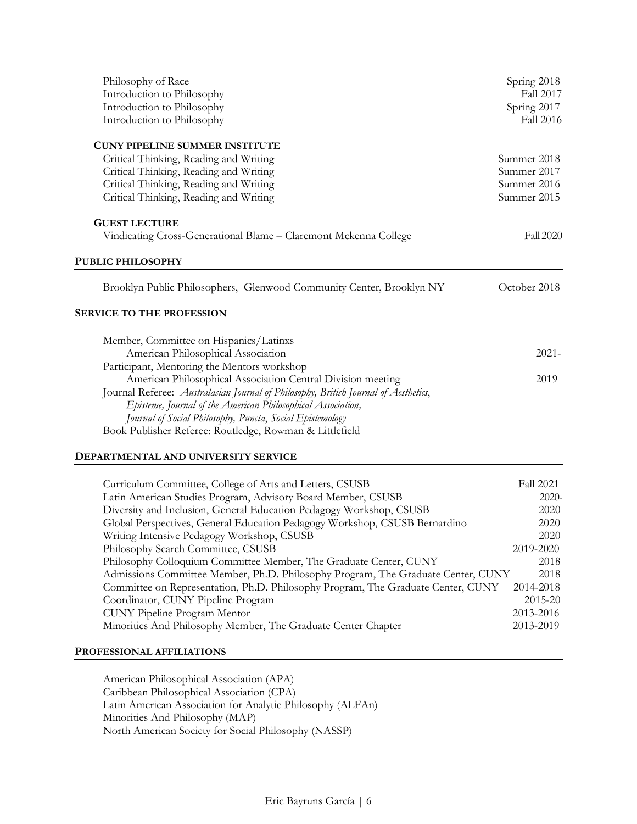| Philosophy of Race<br>Introduction to Philosophy<br>Introduction to Philosophy<br>Introduction to Philosophy | Spring 2018<br>Fall 2017<br>Spring 2017<br>Fall 2016 |
|--------------------------------------------------------------------------------------------------------------|------------------------------------------------------|
| <b>CUNY PIPELINE SUMMER INSTITUTE</b><br>Critical Thinking, Reading and Writing                              | Summer 2018                                          |
| Critical Thinking, Reading and Writing                                                                       | Summer 2017                                          |
| Critical Thinking, Reading and Writing                                                                       | Summer 2016                                          |
| Critical Thinking, Reading and Writing                                                                       | Summer 2015                                          |
| <b>GUEST LECTURE</b>                                                                                         |                                                      |
| Vindicating Cross-Generational Blame - Claremont Mckenna College                                             | <b>Fall 2020</b>                                     |
| <b>PUBLIC PHILOSOPHY</b>                                                                                     |                                                      |
| Brooklyn Public Philosophers, Glenwood Community Center, Brooklyn NY                                         | October 2018                                         |
| <b>SERVICE TO THE PROFESSION</b>                                                                             |                                                      |
|                                                                                                              |                                                      |
| Member, Committee on Hispanics/Latinxs<br>American Philosophical Association                                 | $2021 -$                                             |
| Participant, Mentoring the Mentors workshop                                                                  |                                                      |
| American Philosophical Association Central Division meeting                                                  | 2019                                                 |
| Journal Referee: Australasian Journal of Philosophy, British Journal of Aesthetics,                          |                                                      |
| Episteme, Journal of the American Philosophical Association,                                                 |                                                      |
| Journal of Social Philosophy, Puncta, Social Epistemology                                                    |                                                      |
| Book Publisher Referee: Routledge, Rowman & Littlefield                                                      |                                                      |
|                                                                                                              |                                                      |

## **DEPARTMENTAL AND UNIVERSITY SERVICE**

| Curriculum Committee, College of Arts and Letters, CSUSB                         | Fall 2021 |
|----------------------------------------------------------------------------------|-----------|
| Latin American Studies Program, Advisory Board Member, CSUSB                     | $2020 -$  |
| Diversity and Inclusion, General Education Pedagogy Workshop, CSUSB              | 2020      |
| Global Perspectives, General Education Pedagogy Workshop, CSUSB Bernardino       | 2020      |
| Writing Intensive Pedagogy Workshop, CSUSB                                       | 2020      |
| Philosophy Search Committee, CSUSB                                               | 2019-2020 |
| Philosophy Colloquium Committee Member, The Graduate Center, CUNY                | 2018      |
| Admissions Committee Member, Ph.D. Philosophy Program, The Graduate Center, CUNY | 2018      |
| Committee on Representation, Ph.D. Philosophy Program, The Graduate Center, CUNY | 2014-2018 |
| Coordinator, CUNY Pipeline Program                                               | 2015-20   |
| <b>CUNY Pipeline Program Mentor</b>                                              | 2013-2016 |
| Minorities And Philosophy Member, The Graduate Center Chapter                    | 2013-2019 |

## **PROFESSIONAL AFFILIATIONS**

American Philosophical Association (APA) Caribbean Philosophical Association (CPA) Latin American Association for Analytic Philosophy (ALFAn) Minorities And Philosophy (MAP) North American Society for Social Philosophy (NASSP)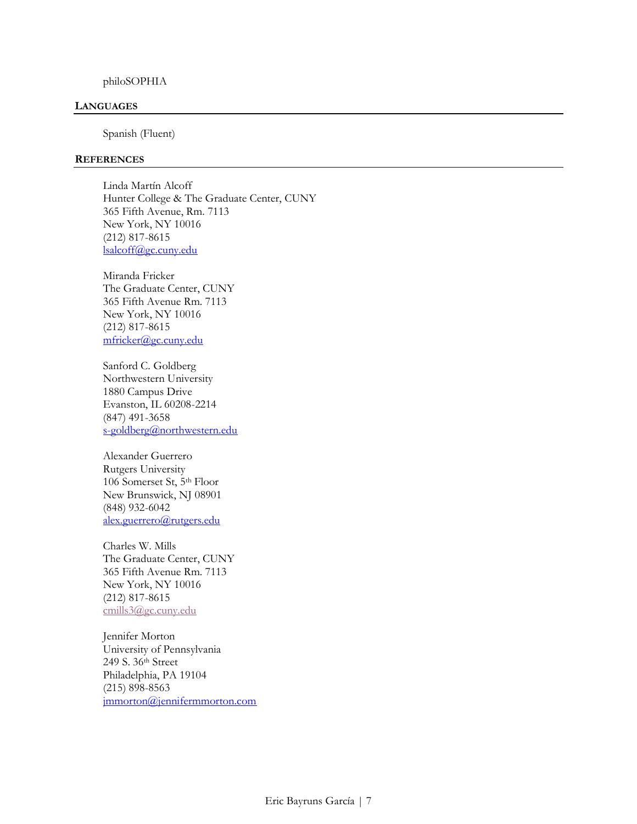#### philoSOPHIA

#### **LANGUAGES**

Spanish (Fluent)

#### **REFERENCES**

Linda Martín Alcoff Hunter College & The Graduate Center, CUNY 365 Fifth Avenue, Rm. 7113 New York, NY 10016 (212) 817-8615 [lsalcoff@gc.cuny.edu](mailto:lsalcoff@gc.cuny.edu)

Miranda Fricker The Graduate Center, CUNY 365 Fifth Avenue Rm. 7113 New York, NY 10016 (212) 817-8615 [mfricker@gc.cuny.edu](mailto:mfricker@gc.cuny.edu)

Sanford C. Goldberg Northwestern University 1880 Campus Drive Evanston, IL 60208-2214 (847) 491-3658 [s-goldberg@northwestern.edu](mailto:s-goldberg@northwestern.edu)

Alexander Guerrero Rutgers University 106 Somerset St, 5th Floor New Brunswick, NJ 08901 (848) 932-6042 [alex.guerrero@rutgers.edu](mailto:alex.guerrero@rutgers.edu)

Charles W. Mills The Graduate Center, CUNY 365 Fifth Avenue Rm. 7113 New York, NY 10016 (212) 817-8615 [cmills3@gc.cuny.edu](mailto:cmills3@gc.cuny.edu)

Jennifer Morton University of Pennsylvania 249 S. 36th Street Philadelphia, PA 19104 (215) 898-8563 [jmmorton@jennifermmorton.com](mailto:jmmorton@jennifermmorton.com)